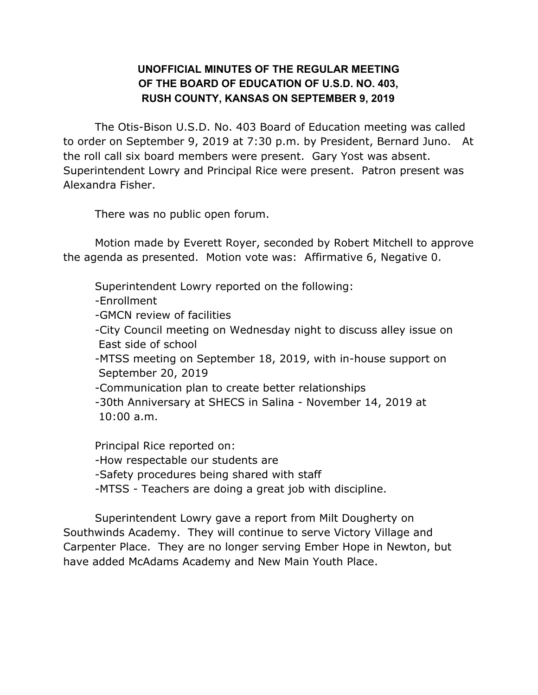## **UNOFFICIAL MINUTES OF THE REGULAR MEETING OF THE BOARD OF EDUCATION OF U.S.D. NO. 403, RUSH COUNTY, KANSAS ON SEPTEMBER 9, 2019**

The Otis-Bison U.S.D. No. 403 Board of Education meeting was called to order on September 9, 2019 at 7:30 p.m. by President, Bernard Juno. At the roll call six board members were present. Gary Yost was absent. Superintendent Lowry and Principal Rice were present. Patron present was Alexandra Fisher.

There was no public open forum.

Motion made by Everett Royer, seconded by Robert Mitchell to approve the agenda as presented. Motion vote was: Affirmative 6, Negative 0.

Superintendent Lowry reported on the following:

-Enrollment

-GMCN review of facilities

-City Council meeting on Wednesday night to discuss alley issue on East side of school

-MTSS meeting on September 18, 2019, with in-house support on September 20, 2019

-Communication plan to create better relationships

-30th Anniversary at SHECS in Salina - November 14, 2019 at 10:00 a.m.

Principal Rice reported on: -How respectable our students are -Safety procedures being shared with staff -MTSS - Teachers are doing a great job with discipline.

Superintendent Lowry gave a report from Milt Dougherty on Southwinds Academy. They will continue to serve Victory Village and Carpenter Place. They are no longer serving Ember Hope in Newton, but have added McAdams Academy and New Main Youth Place.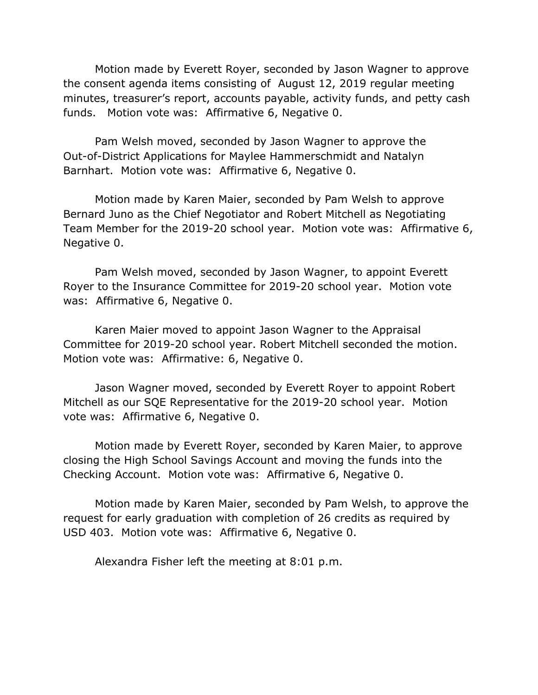Motion made by Everett Royer, seconded by Jason Wagner to approve the consent agenda items consisting of August 12, 2019 regular meeting minutes, treasurer's report, accounts payable, activity funds, and petty cash funds. Motion vote was: Affirmative 6, Negative 0.

Pam Welsh moved, seconded by Jason Wagner to approve the Out-of-District Applications for Maylee Hammerschmidt and Natalyn Barnhart. Motion vote was: Affirmative 6, Negative 0.

Motion made by Karen Maier, seconded by Pam Welsh to approve Bernard Juno as the Chief Negotiator and Robert Mitchell as Negotiating Team Member for the 2019-20 school year. Motion vote was: Affirmative 6, Negative 0.

Pam Welsh moved, seconded by Jason Wagner, to appoint Everett Royer to the Insurance Committee for 2019-20 school year. Motion vote was: Affirmative 6, Negative 0.

Karen Maier moved to appoint Jason Wagner to the Appraisal Committee for 2019-20 school year. Robert Mitchell seconded the motion. Motion vote was: Affirmative: 6, Negative 0.

Jason Wagner moved, seconded by Everett Royer to appoint Robert Mitchell as our SQE Representative for the 2019-20 school year. Motion vote was: Affirmative 6, Negative 0.

Motion made by Everett Royer, seconded by Karen Maier, to approve closing the High School Savings Account and moving the funds into the Checking Account. Motion vote was: Affirmative 6, Negative 0.

Motion made by Karen Maier, seconded by Pam Welsh, to approve the request for early graduation with completion of 26 credits as required by USD 403. Motion vote was: Affirmative 6, Negative 0.

Alexandra Fisher left the meeting at 8:01 p.m.